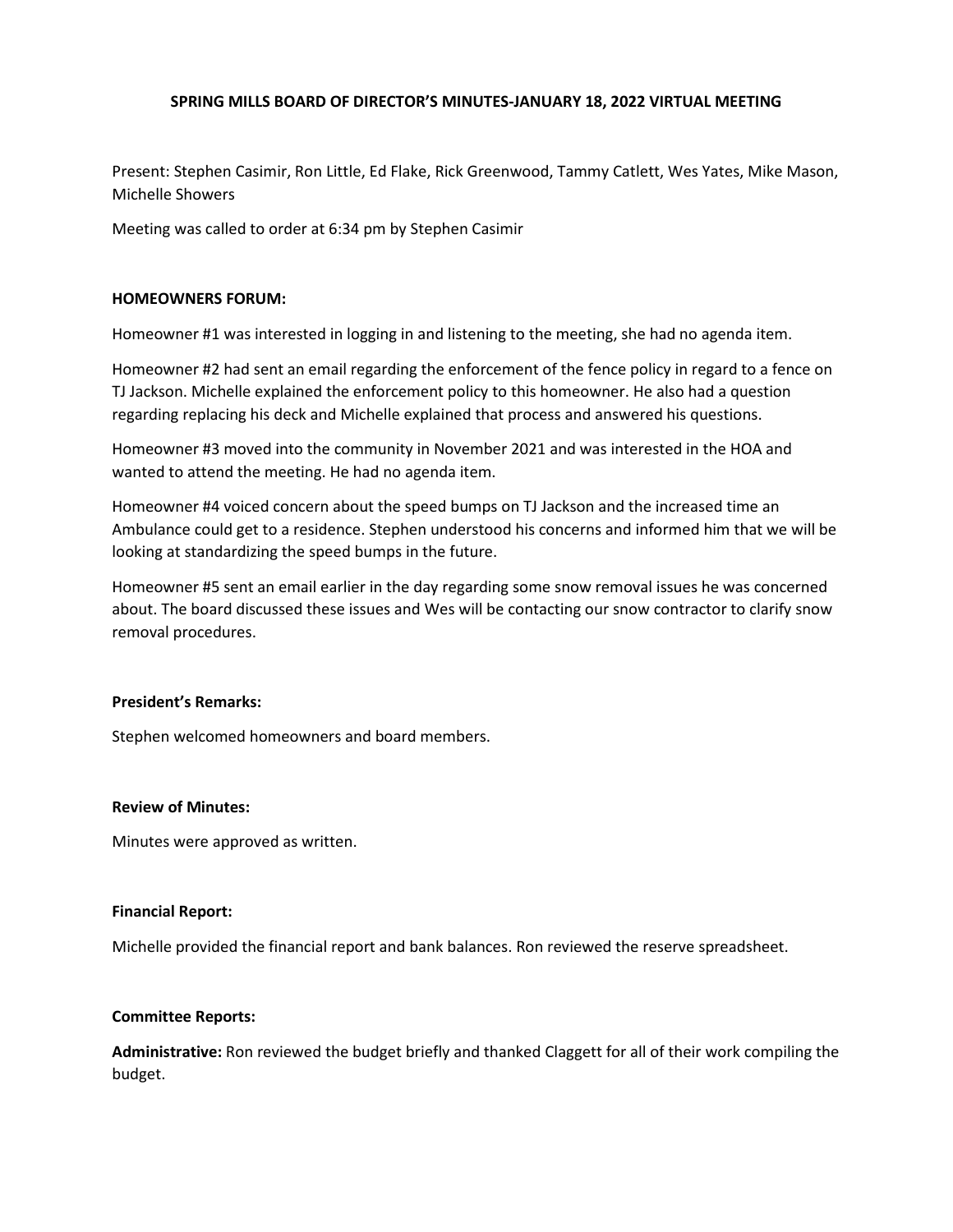# **SPRING MILLS BOARD OF DIRECTOR'S MINUTES-JANUARY 18, 2022 VIRTUAL MEETING**

Present: Stephen Casimir, Ron Little, Ed Flake, Rick Greenwood, Tammy Catlett, Wes Yates, Mike Mason, Michelle Showers

Meeting was called to order at 6:34 pm by Stephen Casimir

### **HOMEOWNERS FORUM:**

Homeowner #1 was interested in logging in and listening to the meeting, she had no agenda item.

Homeowner #2 had sent an email regarding the enforcement of the fence policy in regard to a fence on TJ Jackson. Michelle explained the enforcement policy to this homeowner. He also had a question regarding replacing his deck and Michelle explained that process and answered his questions.

Homeowner #3 moved into the community in November 2021 and was interested in the HOA and wanted to attend the meeting. He had no agenda item.

Homeowner #4 voiced concern about the speed bumps on TJ Jackson and the increased time an Ambulance could get to a residence. Stephen understood his concerns and informed him that we will be looking at standardizing the speed bumps in the future.

Homeowner #5 sent an email earlier in the day regarding some snow removal issues he was concerned about. The board discussed these issues and Wes will be contacting our snow contractor to clarify snow removal procedures.

# **President's Remarks:**

Stephen welcomed homeowners and board members.

### **Review of Minutes:**

Minutes were approved as written.

### **Financial Report:**

Michelle provided the financial report and bank balances. Ron reviewed the reserve spreadsheet.

### **Committee Reports:**

**Administrative:** Ron reviewed the budget briefly and thanked Claggett for all of their work compiling the budget.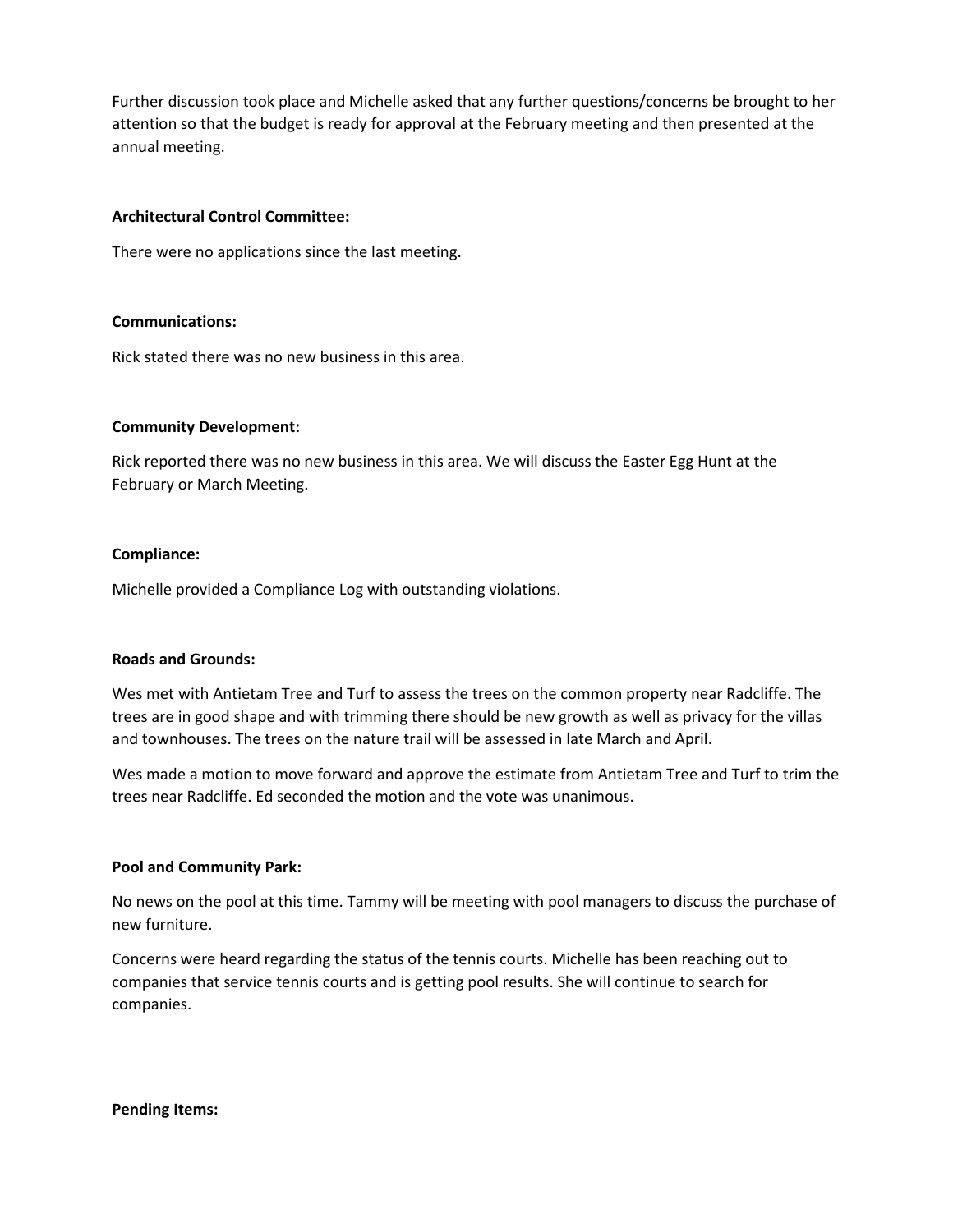Further discussion took place and Michelle asked that any further questions/concerns be brought to her attention so that the budget is ready for approval at the February meeting and then presented at the annual meeting.

### **Architectural Control Committee:**

There were no applications since the last meeting.

# **Communications:**

Rick stated there was no new business in this area.

# **Community Development:**

Rick reported there was no new business in this area. We will discuss the Easter Egg Hunt at the February or March Meeting.

# **Compliance:**

Michelle provided a Compliance Log with outstanding violations.

# **Roads and Grounds:**

Wes met with Antietam Tree and Turf to assess the trees on the common property near Radcliffe. The trees are in good shape and with trimming there should be new growth as well as privacy for the villas and townhouses. The trees on the nature trail will be assessed in late March and April.

Wes made a motion to move forward and approve the estimate from Antietam Tree and Turf to trim the trees near Radcliffe. Ed seconded the motion and the vote was unanimous.

### **Pool and Community Park:**

No news on the pool at this time. Tammy will be meeting with pool managers to discuss the purchase of new furniture.

Concerns were heard regarding the status of the tennis courts. Michelle has been reaching out to companies that service tennis courts and is getting pool results. She will continue to search for companies.

**Pending Items:**